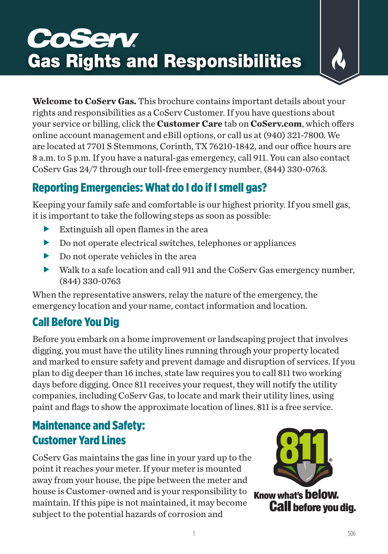# **CoServ** Gas Rights and Responsibilities

**Welcome to CoServ Gas.** This brochure contains important details about your rights and responsibilities as a CoServ Customer. If you have questions about your service or billing, click the **Customer Care** tab on **CoServ.com**, which offers online account management and eBill options, or call us at (940) 321-7800. We are located at 7701 S Stemmons, Corinth, TX 76210-1842, and our office hours are 8 a.m. to 5 p.m. If you have a natural-gas emergency, call 911. You can also contact CoServ Gas 24/7 through our toll-free emergency number, (844) 330-0763.

# Reporting Emergencies: What do I do if I smell gas?

Keeping your family safe and comfortable is our highest priority. If you smell gas, it is important to take the following steps as soon as possible:

- $\blacktriangleright$  Extinguish all open flames in the area
- $\triangleright$  Do not operate electrical switches, telephones or appliances
- $\blacktriangleright$  Do not operate vehicles in the area
- $\blacktriangleright$  Walk to a safe location and call 911 and the CoServ Gas emergency number, (844) 330-0763

When the representative answers, relay the nature of the emergency, the emergency location and your name, contact information and location.

# Call Before You Dig

Before you embark on a home improvement or landscaping project that involves digging, you must have the utility lines running through your property located and marked to ensure safety and prevent damage and disruption of services. If you plan to dig deeper than 16 inches, state law requires you to call 811 two working days before digging. Once 811 receives your request, they will notify the utility companies, including CoServ Gas, to locate and mark their utility lines, using paint and flags to show the approximate location of lines. 811 is a free service.

## Maintenance and Safety: Customer Yard Lines

CoServ Gas maintains the gas line in your yard up to the point it reaches your meter. If your meter is mounted away from your house, the pipe between the meter and house is Customer-owned and is your responsibility to maintain. If this pipe is not maintained, it may become subject to the potential hazards of corrosion and



Know what's **below. Call before vou dig.**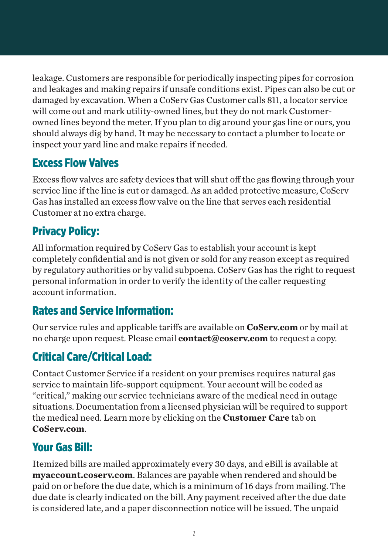leakage. Customers are responsible for periodically inspecting pipes for corrosion and leakages and making repairs if unsafe conditions exist. Pipes can also be cut or damaged by excavation. When a CoServ Gas Customer calls 811, a locator service will come out and mark utility-owned lines, but they do not mark Customerowned lines beyond the meter. If you plan to dig around your gas line or ours, you should always dig by hand. It may be necessary to contact a plumber to locate or inspect your yard line and make repairs if needed.

#### Excess Flow Valves

Excess flow valves are safety devices that will shut off the gas flowing through your service line if the line is cut or damaged. As an added protective measure, CoServ Gas has installed an excess flow valve on the line that serves each residential Customer at no extra charge.

## Privacy Policy:

All information required by CoServ Gas to establish your account is kept completely confidential and is not given or sold for any reason except as required by regulatory authorities or by valid subpoena. CoServ Gas has the right to request personal information in order to verify the identity of the caller requesting account information.

## Rates and Service Information:

Our service rules and applicable tariffs are available on **CoServ.com** or by mail at no charge upon request. Please email **contact@coserv.com** to request a copy.

# Critical Care/Critical Load:

Contact Customer Service if a resident on your premises requires natural gas service to maintain life-support equipment. Your account will be coded as "critical," making our service technicians aware of the medical need in outage situations. Documentation from a licensed physician will be required to support the medical need. Learn more by clicking on the **Customer Care** tab on **CoServ.com**.

## Your Gas Bill:

Itemized bills are mailed approximately every 30 days, and eBill is available at **myaccount.coserv.com**. Balances are payable when rendered and should be paid on or before the due date, which is a minimum of 16 days from mailing. The due date is clearly indicated on the bill. Any payment received after the due date is considered late, and a paper disconnection notice will be issued. The unpaid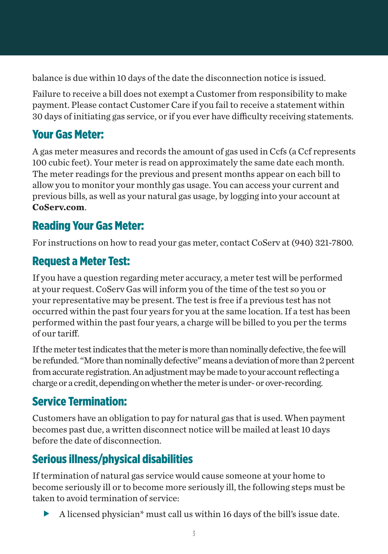balance is due within 10 days of the date the disconnection notice is issued.

Failure to receive a bill does not exempt a Customer from responsibility to make payment. Please contact Customer Care if you fail to receive a statement within 30 days of initiating gas service, or if you ever have difficulty receiving statements.

## Your Gas Meter:

A gas meter measures and records the amount of gas used in Ccfs (a Ccf represents 100 cubic feet). Your meter is read on approximately the same date each month. The meter readings for the previous and present months appear on each bill to allow you to monitor your monthly gas usage. You can access your current and previous bills, as well as your natural gas usage, by logging into your account at **CoServ.com**.

#### Reading Your Gas Meter:

For instructions on how to read your gas meter, contact CoServ at (940) 321-7800.

#### Request a Meter Test:

If you have a question regarding meter accuracy, a meter test will be performed at your request. CoServ Gas will inform you of the time of the test so you or your representative may be present. The test is free if a previous test has not occurred within the past four years for you at the same location. If a test has been performed within the past four years, a charge will be billed to you per the terms of our tariff.

If the meter test indicates that the meter is more than nominally defective, the fee will be refunded. "More than nominally defective" means a deviation of more than 2 percent from accurate registration. An adjustment may be made to your account reflecting a charge or a credit, depending on whether the meter is under- or over-recording.

## Service Termination:

Customers have an obligation to pay for natural gas that is used. When payment becomes past due, a written disconnect notice will be mailed at least 10 days before the date of disconnection.

# Serious illness/physical disabilities

If termination of natural gas service would cause someone at your home to become seriously ill or to become more seriously ill, the following steps must be taken to avoid termination of service:

 $\blacktriangleright$  A licensed physician\* must call us within 16 days of the bill's issue date.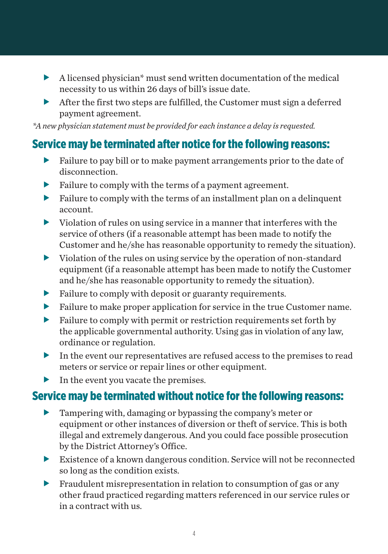- $\blacktriangleright$  A licensed physician\* must send written documentation of the medical necessity to us within 26 days of bill's issue date.
- $\blacktriangleright$  After the first two steps are fulfilled, the Customer must sign a deferred payment agreement.

*\*A new physician statement must be provided for each instance a delay is requested.*

#### Service may be terminated after notice for the following reasons:

- $\blacktriangleright$  Failure to pay bill or to make payment arrangements prior to the date of disconnection.
- Failure to comply with the terms of a payment agreement.
- $\blacktriangleright$  Failure to comply with the terms of an installment plan on a delinquent account.
- $\triangleright$  Violation of rules on using service in a manner that interferes with the service of others (if a reasonable attempt has been made to notify the Customer and he/she has reasonable opportunity to remedy the situation).
- $\triangleright$  Violation of the rules on using service by the operation of non-standard equipment (if a reasonable attempt has been made to notify the Customer and he/she has reasonable opportunity to remedy the situation).
- $\blacktriangleright$  Failure to comply with deposit or guaranty requirements.
- $\blacktriangleright$  Failure to make proper application for service in the true Customer name.
- $\blacktriangleright$  Failure to comply with permit or restriction requirements set forth by the applicable governmental authority. Using gas in violation of any law, ordinance or regulation.
- $\blacktriangleright$  In the event our representatives are refused access to the premises to read meters or service or repair lines or other equipment.
- $\blacktriangleright$  In the event you vacate the premises.

#### Service may be terminated without notice for the following reasons:

- $\blacktriangleright$  Tampering with, damaging or bypassing the company's meter or equipment or other instances of diversion or theft of service. This is both illegal and extremely dangerous. And you could face possible prosecution by the District Attorney's Office.
- $\blacktriangleright$  Existence of a known dangerous condition. Service will not be reconnected so long as the condition exists.
- $\blacktriangleright$  Fraudulent misrepresentation in relation to consumption of gas or any other fraud practiced regarding matters referenced in our service rules or in a contract with us.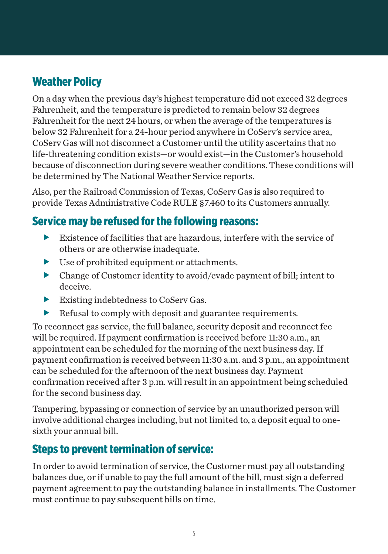## Weather Policy

On a day when the previous day's highest temperature did not exceed 32 degrees Fahrenheit, and the temperature is predicted to remain below 32 degrees Fahrenheit for the next 24 hours, or when the average of the temperatures is below 32 Fahrenheit for a 24-hour period anywhere in CoServ's service area, CoServ Gas will not disconnect a Customer until the utility ascertains that no life-threatening condition exists—or would exist—in the Customer's household because of disconnection during severe weather conditions. These conditions will be determined by The National Weather Service reports.

Also, per the Railroad Commission of Texas, CoServ Gas is also required to provide Texas Administrative Code RULE §7.460 to its Customers annually.

#### Service may be refused for the following reasons:

- $\blacktriangleright$  Existence of facilities that are hazardous, interfere with the service of others or are otherwise inadequate.
- $\blacktriangleright$  Use of prohibited equipment or attachments.
- $\blacktriangleright$  Change of Customer identity to avoid/evade payment of bill; intent to deceive.
- $\blacktriangleright$  Existing indebtedness to CoServ Gas.
- $\blacktriangleright$  Refusal to comply with deposit and guarantee requirements.

To reconnect gas service, the full balance, security deposit and reconnect fee will be required. If payment confirmation is received before 11:30 a.m., an appointment can be scheduled for the morning of the next business day. If payment confirmation is received between 11:30 a.m. and 3 p.m., an appointment can be scheduled for the afternoon of the next business day. Payment confirmation received after 3 p.m. will result in an appointment being scheduled for the second business day.

Tampering, bypassing or connection of service by an unauthorized person will involve additional charges including, but not limited to, a deposit equal to onesixth your annual bill.

#### Steps to prevent termination of service:

In order to avoid termination of service, the Customer must pay all outstanding balances due, or if unable to pay the full amount of the bill, must sign a deferred payment agreement to pay the outstanding balance in installments. The Customer must continue to pay subsequent bills on time.